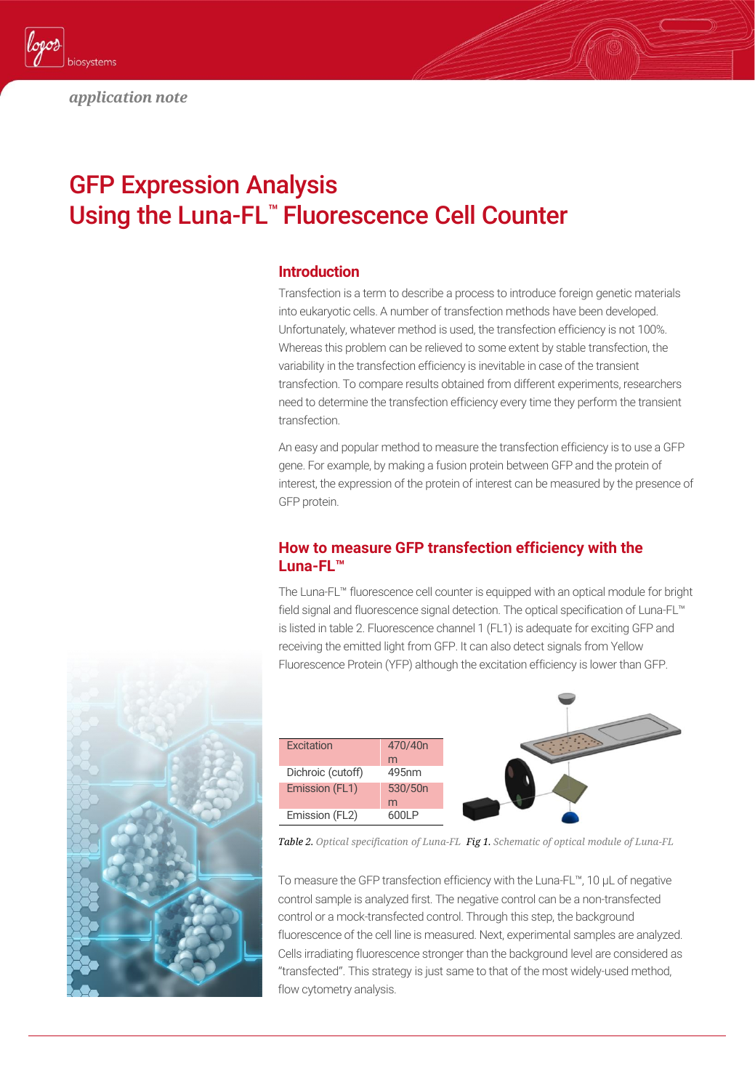

# GFP Expression Analysis Using the Luna-FL™ Fluorescence Cell Counter

#### **Introduction**

Transfection is a term to describe a process to introduce foreign genetic materials into eukaryotic cells. A number of transfection methods have been developed. Unfortunately, whatever method is used, the transfection efficiency is not 100%. Whereas this problem can be relieved to some extent by stable transfection, the variability in the transfection efficiency is inevitable in case of the transient transfection. To compare results obtained from different experiments, researchers need to determine the transfection efficiency every time they perform the transient transfection.

An easy and popular method to measure the transfection efficiency is to use a GFP gene. For example, by making a fusion protein between GFP and the protein of interest, the expression of the protein of interest can be measured by the presence of GFP protein.

## **How to measure GFP transfection efficiency with the Luna-FL™**

The Luna-FL™ fluorescence cell counter is equipped with an optical module for bright field signal and fluorescence signal detection. The optical specification of Luna-FL™ is listed in table 2. Fluorescence channel 1 (FL1) is adequate for exciting GFP and receiving the emitted light from GFP. It can also detect signals from Yellow Fluorescence Protein (YFP) although the excitation efficiency is lower than GFP.



*Fig 1. Schematic of optical module of Luna-FL Table 2. Optical specification of Luna-FL*

To measure the GFP transfection efficiency with the Luna-FL™, 10 µL of negative control sample is analyzed first. The negative control can be a non-transfected control or a mock-transfected control. Through this step, the background fluorescence of the cell line is measured. Next, experimental samples are analyzed. Cells irradiating fluorescence stronger than the background level are considered as "transfected". This strategy is just same to that of the most widely-used method, flow cytometry analysis.

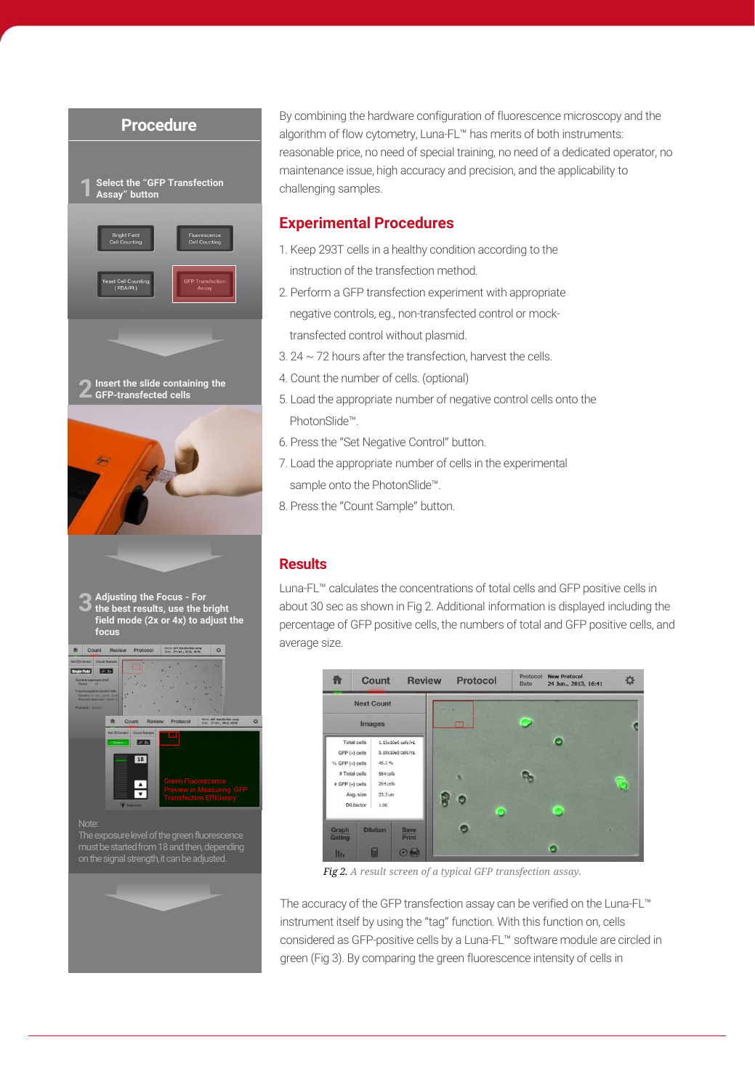

By combining the hardware configuration of fluorescence microscopy and the algorithm of flow cytometry, Luna-FL™ has merits of both instruments: reasonable price, no need of special training, no need of a dedicated operator, no maintenance issue, high accuracy and precision, and the applicability to

### **Experimental Procedures**

- 1. Keep 293T cells in a healthy condition according to the
- instruction of the transfection method.
- 2. Perform a GFP transfection experiment with appropriate negative controls, eg., non-transfected control or mocktransfected control without plasmid.
- $3.24 \sim 72$  hours after the transfection, harvest the cells.
- 4. Count the number of cells. (optional)
- 5. Load the appropriate number of negative control cells onto the PhotonSlide™.
- 6. Press the "Set Negative Control" button.
- 7. Load the appropriate number of cells in the experimental sample onto the PhotonSlide™.
- 8. Press the "Count Sample" button.

## **Results**

Luna-FL™ calculates the concentrations of total cells and GFP positive cells in about 30 sec as shown in Fig 2. Additional information is displayed including the percentage of GFP positive cells, the numbers of total and GFP positive cells, and average size.



*Fig 2. A result screen of a typical GFP transfection assay.*

The accuracy of the GFP transfection assay can be verified on the Luna-FL™ instrument itself by using the "tag" function. With this function on, cells considered as GFP-positive cells by a Luna-FL™ software module are circled in green (Fig 3). By comparing the green fluorescence intensity of cells in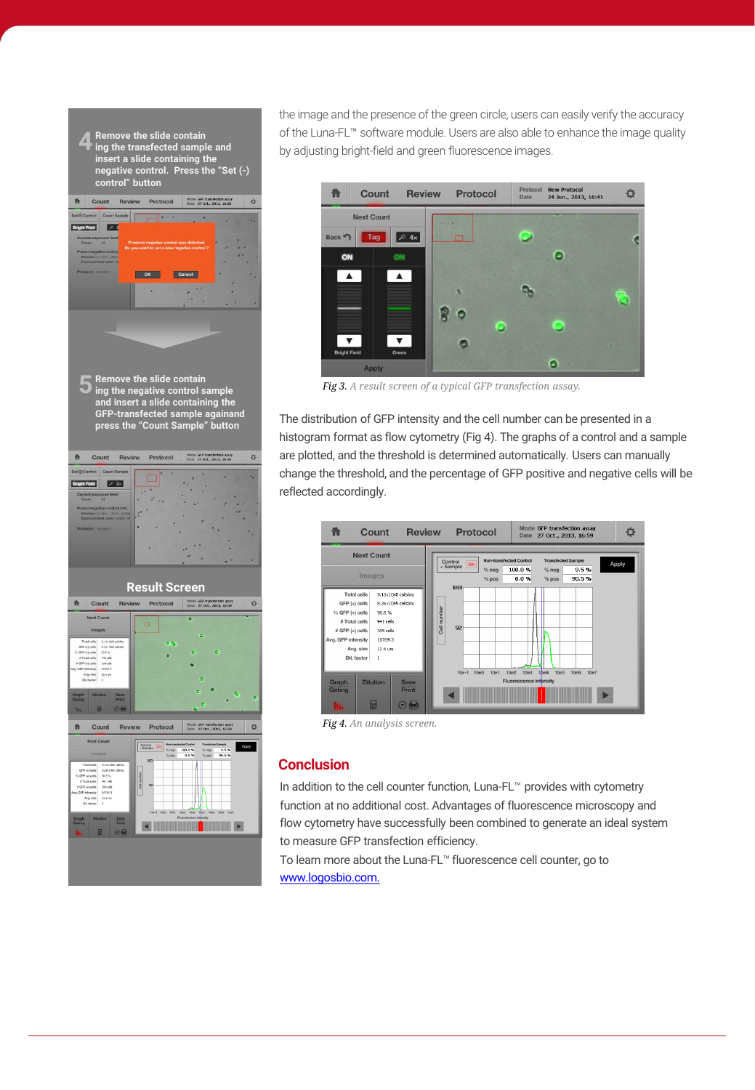

the image and the presence of the green circle, users can easily verify the accuracy of the Luna-FL™ software module. Users are also able to enhance the image quality by adjusting bright-field and green fluorescence images.



*Fig 3. A result screen of a typical GFP transfection assay.*

The distribution of GFP intensity and the cell number can be presented in a histogram format as flow cytometry (Fig 4). The graphs of a control and a sample are plotted, and the threshold is determined automatically. Users can manually change the threshold, and the percentage of GFP positive and negative cells will be reflected accordingly.



*Fig 4. An analysis screen.* 

#### **Conclusion**

In addition to the cell counter function, Luna-FL™ provides with cytometry function at no additional cost. Advantages of fluorescence microscopy and flow cytometry have successfully been combined to generate an ideal system to measure GFP transfection efficiency.

To learn more about the Luna-FL™ fluorescence cell counter, go to [www.logosbio.com.](https://logosbio.com/)